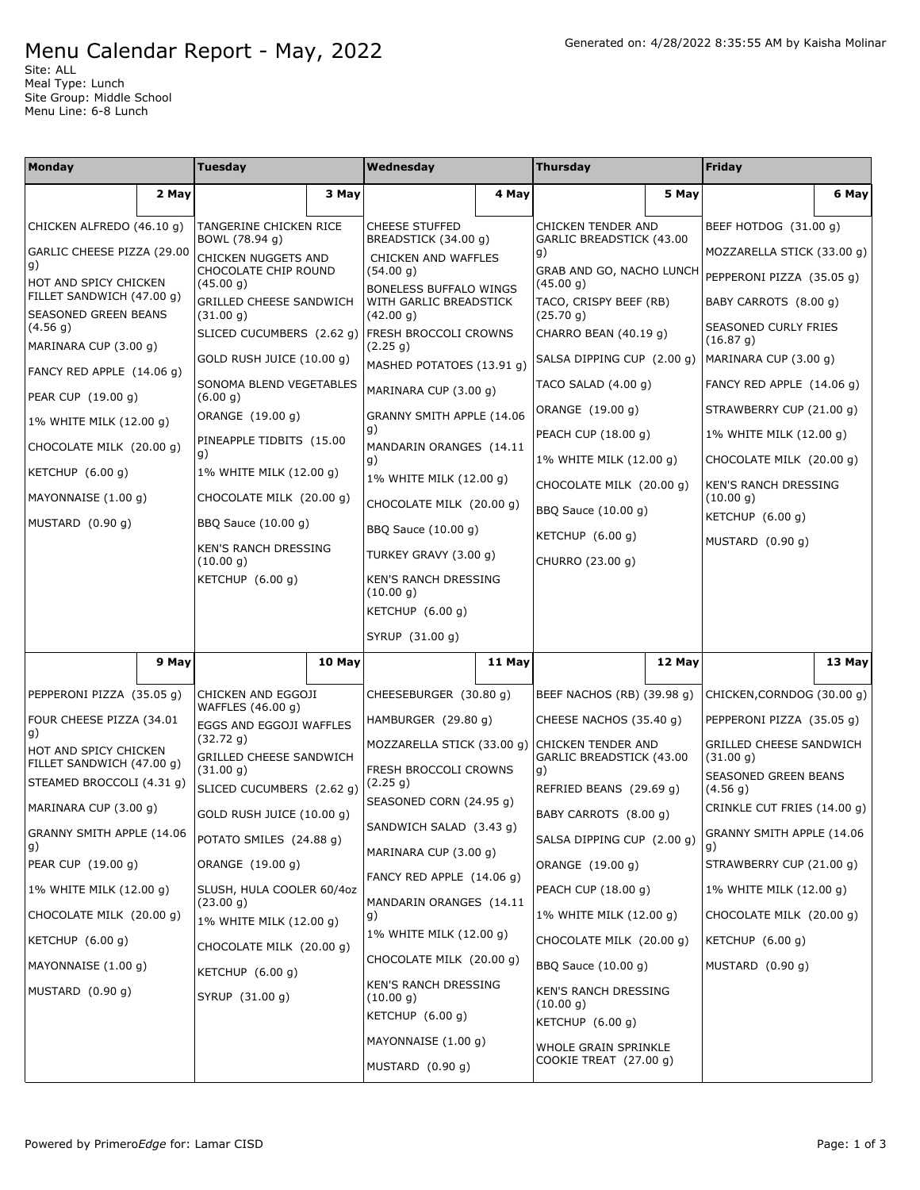## Menu Calendar Report - May, 2022

Site: ALL Meal Type: Lunch Site Group: Middle School Menu Line: 6-8 Lunch

| Monday                                                   |       | Tuesday                                         |        | Wednesday                                           |        | <b>Thursday</b>                                |        | <b>Friday</b>                            |        |
|----------------------------------------------------------|-------|-------------------------------------------------|--------|-----------------------------------------------------|--------|------------------------------------------------|--------|------------------------------------------|--------|
|                                                          | 2 May |                                                 | 3 May  |                                                     | 4 May  |                                                | 5 May  |                                          | 6 May  |
| CHICKEN ALFREDO (46.10 g)                                |       | TANGERINE CHICKEN RICE<br>BOWL (78.94 g)        |        | <b>CHEESE STUFFED</b><br>BREADSTICK (34.00 q)       |        | CHICKEN TENDER AND<br>GARLIC BREADSTICK (43.00 |        | BEEF HOTDOG (31.00 g)                    |        |
| GARLIC CHEESE PIZZA (29.00<br>g)                         |       | CHICKEN NUGGETS AND                             |        | CHICKEN AND WAFFLES                                 |        | g)                                             |        | MOZZARELLA STICK (33.00 g)               |        |
| HOT AND SPICY CHICKEN                                    |       | CHOCOLATE CHIP ROUND<br>(45.00 g)               |        | (54.00 g)<br><b>BONELESS BUFFALO WINGS</b>          |        | GRAB AND GO, NACHO LUNCH<br>(45.00 g)          |        | PEPPERONI PIZZA (35.05 g)                |        |
| FILLET SANDWICH (47.00 g)<br><b>SEASONED GREEN BEANS</b> |       | GRILLED CHEESE SANDWICH<br>(31.00 g)            |        | WITH GARLIC BREADSTICK<br>(42.00 g)                 |        | TACO, CRISPY BEEF (RB)<br>(25.70 g)            |        | BABY CARROTS (8.00 g)                    |        |
| (4.56 g)<br>MARINARA CUP (3.00 g)                        |       | SLICED CUCUMBERS (2.62 g) FRESH BROCCOLI CROWNS |        | (2.25 g)                                            |        | CHARRO BEAN (40.19 g)                          |        | SEASONED CURLY FRIES<br>(16.87 g)        |        |
| FANCY RED APPLE (14.06 g)                                |       | GOLD RUSH JUICE (10.00 g)                       |        | MASHED POTATOES (13.91 g)                           |        | SALSA DIPPING CUP (2.00 g)                     |        | MARINARA CUP (3.00 g)                    |        |
| PEAR CUP (19.00 g)                                       |       | SONOMA BLEND VEGETABLES<br>(6.00 g)             |        | MARINARA CUP (3.00 g)                               |        | TACO SALAD (4.00 g)                            |        | FANCY RED APPLE (14.06 g)                |        |
| 1% WHITE MILK (12.00 g)                                  |       | ORANGE (19.00 g)                                |        | GRANNY SMITH APPLE (14.06                           |        | ORANGE (19.00 g)                               |        | STRAWBERRY CUP (21.00 g)                 |        |
| CHOCOLATE MILK (20.00 g)                                 |       | PINEAPPLE TIDBITS (15.00                        |        | g)<br>MANDARIN ORANGES (14.11                       |        | PEACH CUP (18.00 g)                            |        | 1% WHITE MILK (12.00 g)                  |        |
| KETCHUP (6.00 g)                                         |       | g)<br>1% WHITE MILK (12.00 g)                   |        | g)<br>1% WHITE MILK (12.00 g)                       |        | 1% WHITE MILK (12.00 g)                        |        | CHOCOLATE MILK (20.00 g)                 |        |
| MAYONNAISE (1.00 g)                                      |       | CHOCOLATE MILK (20.00 g)                        |        | CHOCOLATE MILK (20.00 g)                            |        | CHOCOLATE MILK (20.00 g)                       |        | <b>KEN'S RANCH DRESSING</b><br>(10.00 g) |        |
| MUSTARD (0.90 g)                                         |       | BBQ Sauce (10.00 g)                             |        | BBQ Sauce (10.00 g)                                 |        | BBQ Sauce (10.00 g)                            |        | KETCHUP (6.00 g)                         |        |
|                                                          |       | <b>KEN'S RANCH DRESSING</b>                     |        | TURKEY GRAVY (3.00 g)                               |        | KETCHUP $(6.00 q)$                             |        | MUSTARD (0.90 g)                         |        |
|                                                          |       | (10.00 g)<br>KETCHUP (6.00 g)                   |        | KEN'S RANCH DRESSING                                |        | CHURRO (23.00 g)                               |        |                                          |        |
|                                                          |       |                                                 |        | (10.00 g)<br>KETCHUP (6.00 g)                       |        |                                                |        |                                          |        |
|                                                          |       |                                                 |        | SYRUP (31.00 g)                                     |        |                                                |        |                                          |        |
|                                                          | 9 May |                                                 | 10 May |                                                     | 11 May |                                                | 12 May |                                          | 13 May |
| PEPPERONI PIZZA (35.05 g)                                |       | CHICKEN AND EGGOJI                              |        | CHEESEBURGER (30.80 g)                              |        | BEEF NACHOS (RB) (39.98 g)                     |        | CHICKEN, CORNDOG (30.00 g)               |        |
| FOUR CHEESE PIZZA (34.01                                 |       | WAFFLES (46.00 g)                               |        | HAMBURGER (29.80 g)                                 |        | CHEESE NACHOS (35.40 g)                        |        | PEPPERONI PIZZA (35.05 g)                |        |
| g)                                                       |       | EGGS AND EGGOJI WAFFLES<br>(32.72 g)            |        | MOZZARELLA STICK (33.00 g)                          |        | <b>CHICKEN TENDER AND</b>                      |        | <b>GRILLED CHEESE SANDWICH</b>           |        |
| HOT AND SPICY CHICKEN<br>FILLET SANDWICH (47.00 g)       |       | GRILLED CHEESE SANDWICH<br>(31.00 g)            |        | FRESH BROCCOLI CROWNS                               |        | GARLIC BREADSTICK (43.00<br>g)                 |        | (31.00 g)<br>SEASONED GREEN BEANS        |        |
| STEAMED BROCCOLI (4.31 g)                                |       | SLICED CUCUMBERS (2.62 g)                       |        | (2.25 g)<br>SEASONED CORN (24.95 g)                 |        | REFRIED BEANS (29.69 g)                        |        | (4.56 g)                                 |        |
| MARINARA CUP (3.00 g)                                    |       | GOLD RUSH JUICE (10.00 g)                       |        | SANDWICH SALAD (3.43 g)                             |        | BABY CARROTS (8.00 g)                          |        | CRINKLE CUT FRIES (14.00 g)              |        |
| GRANNY SMITH APPLE (14.06<br>g)                          |       | POTATO SMILES (24.88 g)                         |        | MARINARA CUP (3.00 g)                               |        | SALSA DIPPING CUP (2.00 g)                     |        | GRANNY SMITH APPLE (14.06<br>g)          |        |
| PEAR CUP (19.00 g)                                       |       | ORANGE (19.00 g)                                |        | FANCY RED APPLE (14.06 g)                           |        | ORANGE (19.00 g)                               |        | STRAWBERRY CUP (21.00 g)                 |        |
| 1% WHITE MILK (12.00 g)                                  |       | SLUSH, HULA COOLER 60/4oz<br>(23.00 g)          |        | MANDARIN ORANGES (14.11<br>g)                       |        | PEACH CUP (18.00 g)                            |        | 1% WHITE MILK (12.00 g)                  |        |
| CHOCOLATE MILK (20.00 g)                                 |       | 1% WHITE MILK (12.00 g)                         |        |                                                     |        | 1% WHITE MILK (12.00 g)                        |        | CHOCOLATE MILK (20.00 g)                 |        |
| KETCHUP (6.00 g)                                         |       | CHOCOLATE MILK (20.00 g)                        |        | 1% WHITE MILK (12.00 g)<br>CHOCOLATE MILK (20.00 g) |        | CHOCOLATE MILK (20.00 g)                       |        | KETCHUP $(6.00 g)$                       |        |
| MAYONNAISE (1.00 g)                                      |       | KETCHUP (6.00 g)                                |        | <b>KEN'S RANCH DRESSING</b>                         |        | BBQ Sauce (10.00 g)                            |        | MUSTARD $(0.90 g)$                       |        |
| MUSTARD (0.90 g)                                         |       | SYRUP (31.00 g)                                 |        | (10.00 g)<br>KETCHUP (6.00 g)                       |        | KEN'S RANCH DRESSING<br>(10.00 g)              |        |                                          |        |
|                                                          |       |                                                 |        | MAYONNAISE (1.00 g)                                 |        | KETCHUP (6.00 g)                               |        |                                          |        |
|                                                          |       |                                                 |        | MUSTARD (0.90 g)                                    |        | WHOLE GRAIN SPRINKLE<br>COOKIE TREAT (27.00 g) |        |                                          |        |
|                                                          |       |                                                 |        |                                                     |        |                                                |        |                                          |        |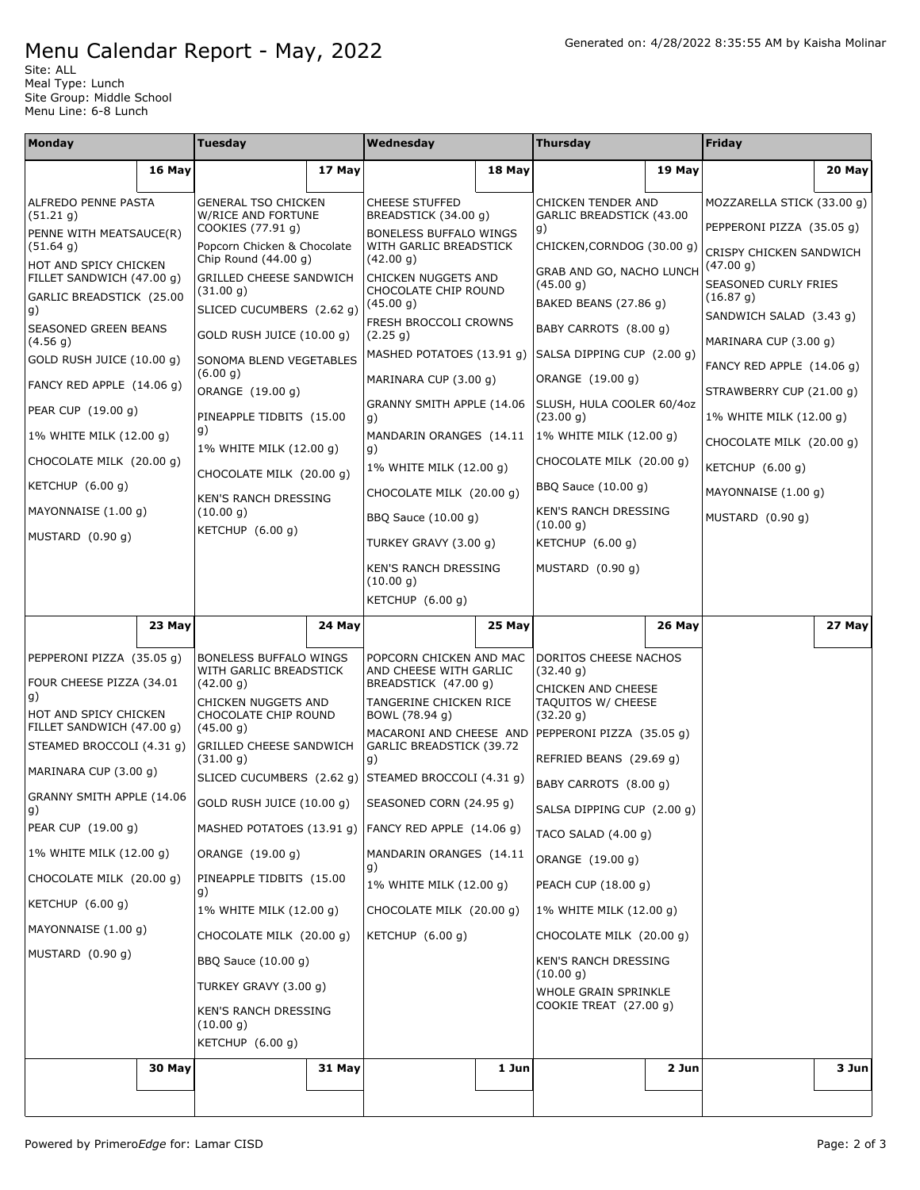## Menu Calendar Report - May, 2022

Site: ALL Meal Type: Lunch Site Group: Middle School Menu Line: 6-8 Lunch

| <b>Monday</b>                                      |                         | <b>Tuesday</b>                                                   |        | Wednesday                                           |                         | <b>Thursday</b>                                  |                                      | Friday                               |                          |  |
|----------------------------------------------------|-------------------------|------------------------------------------------------------------|--------|-----------------------------------------------------|-------------------------|--------------------------------------------------|--------------------------------------|--------------------------------------|--------------------------|--|
|                                                    | 16 May                  |                                                                  | 17 May |                                                     | 18 May                  |                                                  | 19 May                               |                                      | 20 May                   |  |
| ALFREDO PENNE PASTA<br>(51.21 g)                   |                         | GENERAL TSO CHICKEN<br>W/RICE AND FORTUNE                        |        | <b>CHEESE STUFFED</b><br>BREADSTICK (34.00 g)       |                         | CHICKEN TENDER AND<br>GARLIC BREADSTICK (43.00   |                                      | MOZZARELLA STICK (33.00 g)           |                          |  |
| PENNE WITH MEATSAUCE(R)                            |                         | COOKIES (77.91 g)                                                |        | BONELESS BUFFALO WINGS                              |                         | g)                                               |                                      | PEPPERONI PIZZA (35.05 g)            |                          |  |
| (51.64 g)<br>HOT AND SPICY CHICKEN                 |                         | Popcorn Chicken & Chocolate<br>Chip Round (44.00 g)              |        | WITH GARLIC BREADSTICK<br>(42.00 g)                 |                         | CHICKEN, CORNDOG (30.00 q)                       |                                      | CRISPY CHICKEN SANDWICH<br>(47.00 g) |                          |  |
| FILLET SANDWICH (47.00 g)                          |                         | <b>GRILLED CHEESE SANDWICH</b>                                   |        | CHICKEN NUGGETS AND<br>CHOCOLATE CHIP ROUND         |                         | GRAB AND GO, NACHO LUNCH<br>(45.00 g)            |                                      | SEASONED CURLY FRIES                 |                          |  |
| GARLIC BREADSTICK (25.00<br>g)                     |                         | (31.00 g)<br>SLICED CUCUMBERS (2.62 q)                           |        | (45.00 g)                                           |                         | BAKED BEANS (27.86 g)                            | (16.87 g)<br>SANDWICH SALAD (3.43 g) |                                      |                          |  |
| SEASONED GREEN BEANS                               |                         | GOLD RUSH JUICE (10.00 g)                                        |        | FRESH BROCCOLI CROWNS<br>(2.25 g)                   |                         | BABY CARROTS (8.00 g)                            |                                      | MARINARA CUP (3.00 g)                |                          |  |
| (4.56 g)<br>GOLD RUSH JUICE (10.00 g)              |                         | SONOMA BLEND VEGETABLES                                          |        | MASHED POTATOES (13.91 g)                           |                         | SALSA DIPPING CUP (2.00 g)                       |                                      | FANCY RED APPLE $(14.06 g)$          |                          |  |
| FANCY RED APPLE (14.06 g)                          |                         | (6.00 g)<br>ORANGE (19.00 g)                                     |        | MARINARA CUP (3.00 g)                               |                         | ORANGE (19.00 g)                                 |                                      | STRAWBERRY CUP (21.00 g)             |                          |  |
| PEAR CUP (19.00 g)                                 |                         | PINEAPPLE TIDBITS (15.00                                         |        | GRANNY SMITH APPLE (14.06<br>g)                     |                         | SLUSH, HULA COOLER 60/4oz<br>(23.00 g)           |                                      | 1% WHITE MILK (12.00 g)              |                          |  |
|                                                    | 1% WHITE MILK (12.00 g) |                                                                  | g)     |                                                     | MANDARIN ORANGES (14.11 |                                                  | 1% WHITE MILK (12.00 g)              |                                      | CHOCOLATE MILK (20.00 g) |  |
| CHOCOLATE MILK (20.00 g)                           |                         | 1% WHITE MILK (12.00 g)                                          |        | g)<br>1% WHITE MILK (12.00 g)                       |                         | CHOCOLATE MILK (20.00 g)                         |                                      | KETCHUP $(6.00 g)$                   |                          |  |
| KETCHUP $(6.00 g)$                                 |                         | CHOCOLATE MILK (20.00 g)                                         |        | CHOCOLATE MILK (20.00 g)                            |                         | BBQ Sauce (10.00 g)                              |                                      | MAYONNAISE (1.00 g)                  |                          |  |
| MAYONNAISE (1.00 g)                                |                         | KEN'S RANCH DRESSING<br>(10.00 g)                                |        | BBQ Sauce (10.00 g)                                 |                         | KEN'S RANCH DRESSING                             |                                      | MUSTARD (0.90 g)                     |                          |  |
| MUSTARD (0.90 g)                                   |                         | KETCHUP (6.00 g)                                                 |        | TURKEY GRAVY (3.00 g)                               |                         | (10.00 g)<br>KETCHUP (6.00 g)                    |                                      |                                      |                          |  |
|                                                    |                         |                                                                  |        | <b>KEN'S RANCH DRESSING</b>                         |                         | MUSTARD $(0.90 g)$                               |                                      |                                      |                          |  |
|                                                    |                         |                                                                  |        | (10.00 g)<br>KETCHUP (6.00 g)                       |                         |                                                  |                                      |                                      |                          |  |
|                                                    | 23 May                  |                                                                  | 24 May |                                                     | 25 May                  |                                                  | 26 May                               |                                      | 27 May                   |  |
|                                                    |                         |                                                                  |        |                                                     |                         |                                                  |                                      |                                      |                          |  |
| PEPPERONI PIZZA (35.05 g)                          |                         | <b>BONELESS BUFFALO WINGS</b><br>WITH GARLIC BREADSTICK          |        | POPCORN CHICKEN AND MAC<br>AND CHEESE WITH GARLIC   |                         | DORITOS CHEESE NACHOS<br>(32.40 g)               |                                      |                                      |                          |  |
| FOUR CHEESE PIZZA (34.01<br>g)                     |                         | (42.00 g)<br>CHICKEN NUGGETS AND                                 |        | BREADSTICK (47.00 g)<br>TANGERINE CHICKEN RICE      |                         | CHICKEN AND CHEESE<br>TAQUITOS W/ CHEESE         |                                      |                                      |                          |  |
| HOT AND SPICY CHICKEN<br>FILLET SANDWICH (47.00 g) |                         | CHOCOLATE CHIP ROUND<br>(45.00 g)                                |        | BOWL (78.94 g)                                      |                         | (32.20 g)                                        |                                      |                                      |                          |  |
| STEAMED BROCCOLI (4.31 g)                          |                         | <b>GRILLED CHEESE SANDWICH</b>                                   |        | MACARONI AND CHEESE AND<br>GARLIC BREADSTICK (39.72 |                         | PEPPERONI PIZZA (35.05 g)                        |                                      |                                      |                          |  |
| MARINARA CUP (3.00 g)                              |                         | (31.00 g)<br>SLICED CUCUMBERS (2.62 g) STEAMED BROCCOLI (4.31 g) |        | g)                                                  |                         | REFRIED BEANS (29.69 g)<br>BABY CARROTS (8.00 g) |                                      |                                      |                          |  |
| GRANNY SMITH APPLE (14.06                          |                         | GOLD RUSH JUICE (10.00 g)                                        |        | SEASONED CORN (24.95 g)                             |                         | SALSA DIPPING CUP (2.00 g)                       |                                      |                                      |                          |  |
| g)<br>PEAR CUP (19.00 g)                           |                         | MASHED POTATOES (13.91 g) FANCY RED APPLE (14.06 g)              |        |                                                     |                         | TACO SALAD (4.00 g)                              |                                      |                                      |                          |  |
| 1% WHITE MILK (12.00 g)                            |                         | ORANGE (19.00 g)                                                 |        | MANDARIN ORANGES (14.11                             |                         | ORANGE (19.00 g)                                 |                                      |                                      |                          |  |
| CHOCOLATE MILK (20.00 g)                           |                         | PINEAPPLE TIDBITS (15.00                                         |        | g)<br>1% WHITE MILK (12.00 g)                       |                         | PEACH CUP (18.00 g)                              |                                      |                                      |                          |  |
| KETCHUP (6.00 g)                                   |                         | g)<br>1% WHITE MILK (12.00 g)                                    |        | CHOCOLATE MILK (20.00 g)                            |                         | 1% WHITE MILK (12.00 g)                          |                                      |                                      |                          |  |
| MAYONNAISE (1.00 g)                                |                         | CHOCOLATE MILK (20.00 g)                                         |        | KETCHUP (6.00 g)                                    |                         | CHOCOLATE MILK (20.00 g)                         |                                      |                                      |                          |  |
| MUSTARD (0.90 g)                                   |                         | BBQ Sauce (10.00 g)                                              |        |                                                     |                         | <b>KEN'S RANCH DRESSING</b>                      |                                      |                                      |                          |  |
|                                                    |                         | TURKEY GRAVY (3.00 g)                                            |        |                                                     |                         | (10.00 g)<br>WHOLE GRAIN SPRINKLE                |                                      |                                      |                          |  |
|                                                    |                         | KEN'S RANCH DRESSING                                             |        |                                                     |                         | COOKIE TREAT (27.00 g)                           |                                      |                                      |                          |  |
|                                                    |                         | (10.00 g)<br>KETCHUP (6.00 g)                                    |        |                                                     |                         |                                                  |                                      |                                      |                          |  |
|                                                    | 30 May                  |                                                                  | 31 May |                                                     | 1 Jun                   |                                                  | 2 Jun                                |                                      | 3 Jun                    |  |
|                                                    |                         |                                                                  |        |                                                     |                         |                                                  |                                      |                                      |                          |  |
|                                                    |                         |                                                                  |        |                                                     |                         |                                                  |                                      |                                      |                          |  |